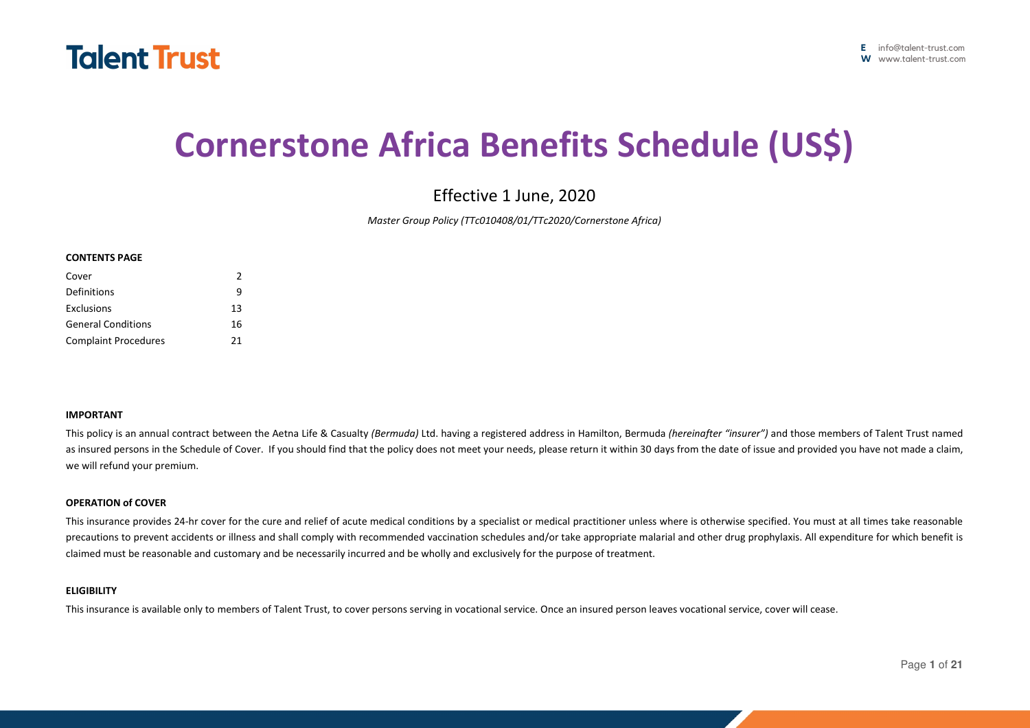

# **Cornerstone Africa Benefits Schedule (US\$)**

Effective 1 June, 2020

*Master Group Policy (TTc010408/01/TTc2020/Cornerstone Africa)* 

#### **CONTENTS PAGE**

| Cover                       | $\mathcal{P}$ |
|-----------------------------|---------------|
| Definitions                 | q             |
| Exclusions                  | 13            |
| <b>General Conditions</b>   | 16            |
| <b>Complaint Procedures</b> | 21            |

#### **IMPORTANT**

This policy is an annual contract between the Aetna Life & Casualty *(Bermuda)* Ltd. having a registered address in Hamilton, Bermuda *(hereinafter "insurer")* and those members of Talent Trust named as insured persons in the Schedule of Cover. If you should find that the policy does not meet your needs, please return it within 30 days from the date of issue and provided you have not made a claim, we will refund your premium.

#### **OPERATION of COVER**

This insurance provides 24-hr cover for the cure and relief of acute medical conditions by a specialist or medical practitioner unless where is otherwise specified. You must at all times take reasonable precautions to prevent accidents or illness and shall comply with recommended vaccination schedules and/or take appropriate malarial and other drug prophylaxis. All expenditure for which benefit is claimed must be reasonable and customary and be necessarily incurred and be wholly and exclusively for the purpose of treatment.

#### **ELIGIBILITY**

This insurance is available only to members of Talent Trust, to cover persons serving in vocational service. Once an insured person leaves vocational service, cover will cease.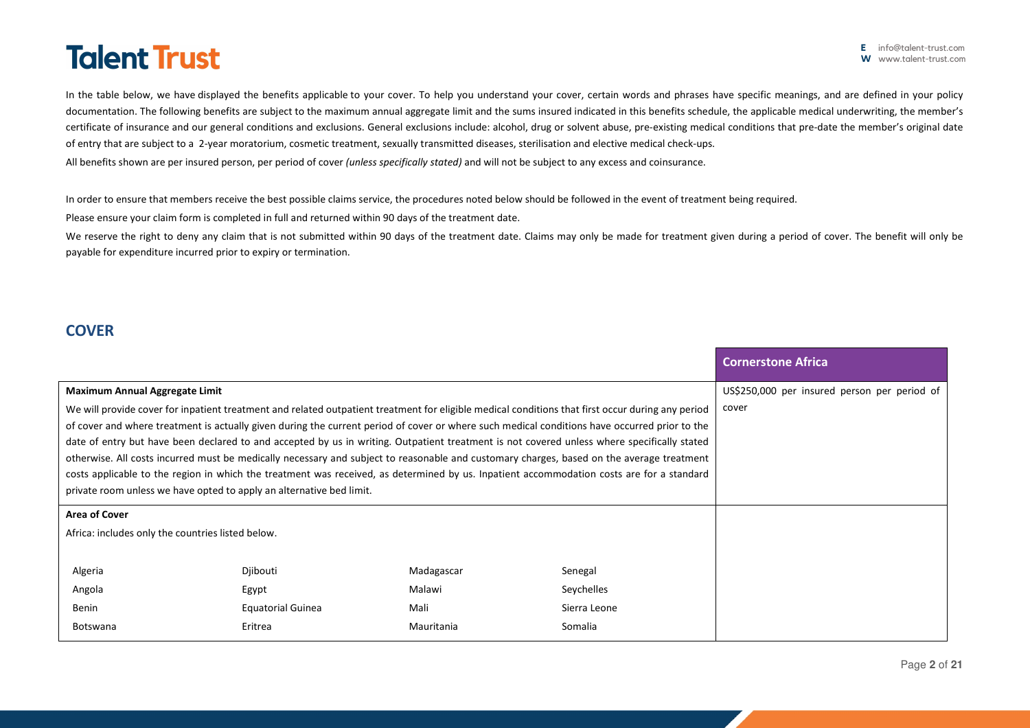In the table below, we have displayed the benefits applicable to your cover. To help you understand your cover, certain words and phrases have specific meanings, and are defined in your policy documentation. The following benefits are subject to the maximum annual aggregate limit and the sums insured indicated in this benefits schedule, the applicable medical underwriting, the member's certificate of insurance and our general conditions and exclusions. General exclusions include: alcohol, drug or solvent abuse, pre-existing medical conditions that pre-date the member's original date of entry that are subject to a 2-year moratorium, cosmetic treatment, sexually transmitted diseases, sterilisation and elective medical check-ups.

All benefits shown are per insured person, per period of cover *(unless specifically stated)* and will not be subject to any excess and coinsurance.

In order to ensure that members receive the best possible claims service, the procedures noted below should be followed in the event of treatment being required.

Please ensure your claim form is completed in full and returned within 90 days of the treatment date.

We reserve the right to deny any claim that is not submitted within 90 days of the treatment date. Claims may only be made for treatment given during a period of cover. The benefit will only be payable for expenditure incurred prior to expiry or termination.

# **COVER**

|                                                                                                                                                                                                                                                                                                                                                                                                                                                                                                                                                                                                                                                                                                                                                                                                                     |                          |            |                                              | <b>Cornerstone Africa</b> |
|---------------------------------------------------------------------------------------------------------------------------------------------------------------------------------------------------------------------------------------------------------------------------------------------------------------------------------------------------------------------------------------------------------------------------------------------------------------------------------------------------------------------------------------------------------------------------------------------------------------------------------------------------------------------------------------------------------------------------------------------------------------------------------------------------------------------|--------------------------|------------|----------------------------------------------|---------------------------|
| <b>Maximum Annual Aggregate Limit</b>                                                                                                                                                                                                                                                                                                                                                                                                                                                                                                                                                                                                                                                                                                                                                                               |                          |            | US\$250,000 per insured person per period of |                           |
| We will provide cover for inpatient treatment and related outpatient treatment for eligible medical conditions that first occur during any period<br>of cover and where treatment is actually given during the current period of cover or where such medical conditions have occurred prior to the<br>date of entry but have been declared to and accepted by us in writing. Outpatient treatment is not covered unless where specifically stated<br>otherwise. All costs incurred must be medically necessary and subject to reasonable and customary charges, based on the average treatment<br>costs applicable to the region in which the treatment was received, as determined by us. Inpatient accommodation costs are for a standard<br>private room unless we have opted to apply an alternative bed limit. |                          |            | cover                                        |                           |
| Area of Cover                                                                                                                                                                                                                                                                                                                                                                                                                                                                                                                                                                                                                                                                                                                                                                                                       |                          |            |                                              |                           |
| Africa: includes only the countries listed below.                                                                                                                                                                                                                                                                                                                                                                                                                                                                                                                                                                                                                                                                                                                                                                   |                          |            |                                              |                           |
| Algeria                                                                                                                                                                                                                                                                                                                                                                                                                                                                                                                                                                                                                                                                                                                                                                                                             | Djibouti                 | Madagascar | Senegal                                      |                           |
| Angola                                                                                                                                                                                                                                                                                                                                                                                                                                                                                                                                                                                                                                                                                                                                                                                                              | Egypt                    | Malawi     | Seychelles                                   |                           |
| Benin                                                                                                                                                                                                                                                                                                                                                                                                                                                                                                                                                                                                                                                                                                                                                                                                               | <b>Equatorial Guinea</b> | Mali       | Sierra Leone                                 |                           |
| <b>Botswana</b>                                                                                                                                                                                                                                                                                                                                                                                                                                                                                                                                                                                                                                                                                                                                                                                                     | Eritrea                  | Mauritania | Somalia                                      |                           |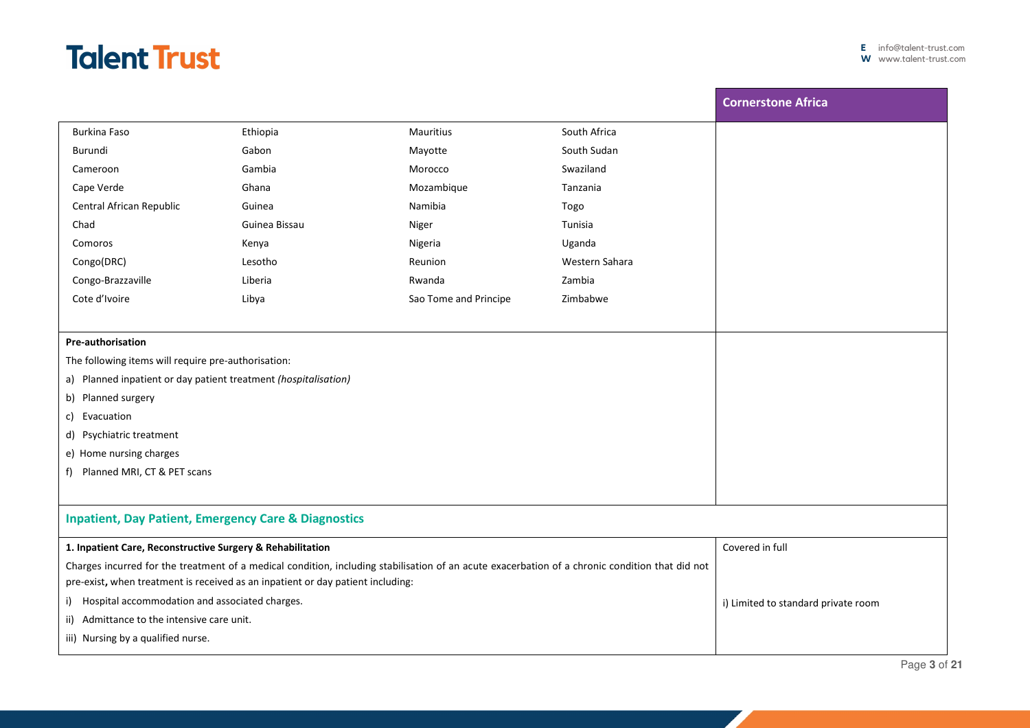|                                                                                                                                                 |               |                       |                | <b>Cornerstone Africa</b>           |
|-------------------------------------------------------------------------------------------------------------------------------------------------|---------------|-----------------------|----------------|-------------------------------------|
| <b>Burkina Faso</b>                                                                                                                             | Ethiopia      | <b>Mauritius</b>      | South Africa   |                                     |
| Burundi                                                                                                                                         | Gabon         | Mayotte               | South Sudan    |                                     |
| Cameroon                                                                                                                                        | Gambia        | Morocco               | Swaziland      |                                     |
| Cape Verde                                                                                                                                      | Ghana         | Mozambique            | Tanzania       |                                     |
| Central African Republic                                                                                                                        | Guinea        | Namibia               | Togo           |                                     |
| Chad                                                                                                                                            | Guinea Bissau | Niger                 | Tunisia        |                                     |
| Comoros                                                                                                                                         | Kenya         | Nigeria               | Uganda         |                                     |
| Congo(DRC)                                                                                                                                      | Lesotho       | Reunion               | Western Sahara |                                     |
| Congo-Brazzaville                                                                                                                               | Liberia       | Rwanda                | Zambia         |                                     |
| Cote d'Ivoire                                                                                                                                   | Libya         | Sao Tome and Principe | Zimbabwe       |                                     |
|                                                                                                                                                 |               |                       |                |                                     |
| <b>Pre-authorisation</b>                                                                                                                        |               |                       |                |                                     |
| The following items will require pre-authorisation:                                                                                             |               |                       |                |                                     |
| a) Planned inpatient or day patient treatment (hospitalisation)                                                                                 |               |                       |                |                                     |
| b) Planned surgery                                                                                                                              |               |                       |                |                                     |
| c) Evacuation                                                                                                                                   |               |                       |                |                                     |
| d) Psychiatric treatment                                                                                                                        |               |                       |                |                                     |
| e) Home nursing charges                                                                                                                         |               |                       |                |                                     |
| f) Planned MRI, CT & PET scans                                                                                                                  |               |                       |                |                                     |
|                                                                                                                                                 |               |                       |                |                                     |
| <b>Inpatient, Day Patient, Emergency Care &amp; Diagnostics</b>                                                                                 |               |                       |                |                                     |
| 1. Inpatient Care, Reconstructive Surgery & Rehabilitation                                                                                      |               |                       |                | Covered in full                     |
| Charges incurred for the treatment of a medical condition, including stabilisation of an acute exacerbation of a chronic condition that did not |               |                       |                |                                     |
| pre-exist, when treatment is received as an inpatient or day patient including:                                                                 |               |                       |                |                                     |
| i) Hospital accommodation and associated charges.                                                                                               |               |                       |                | i) Limited to standard private room |
| ii) Admittance to the intensive care unit.                                                                                                      |               |                       |                |                                     |
| iii) Nursing by a qualified nurse.                                                                                                              |               |                       |                |                                     |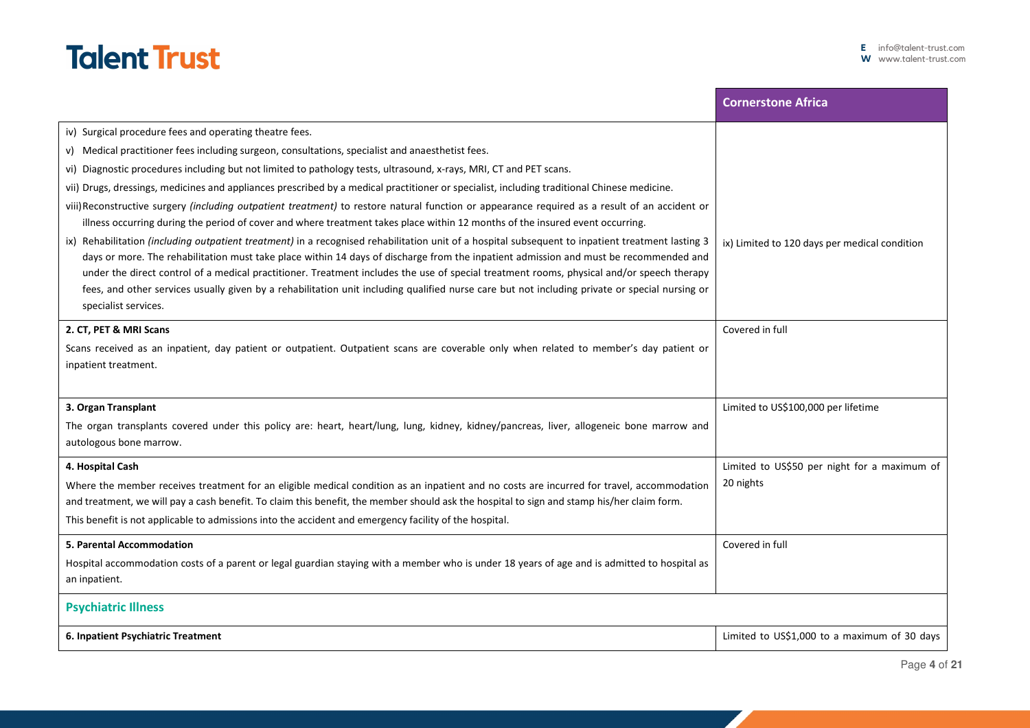|                                                                                                                                                                                                                                                                                             | <b>Cornerstone Africa</b>                     |
|---------------------------------------------------------------------------------------------------------------------------------------------------------------------------------------------------------------------------------------------------------------------------------------------|-----------------------------------------------|
| iv) Surgical procedure fees and operating theatre fees.                                                                                                                                                                                                                                     |                                               |
| v) Medical practitioner fees including surgeon, consultations, specialist and anaesthetist fees.                                                                                                                                                                                            |                                               |
| vi) Diagnostic procedures including but not limited to pathology tests, ultrasound, x-rays, MRI, CT and PET scans.                                                                                                                                                                          |                                               |
| vii) Drugs, dressings, medicines and appliances prescribed by a medical practitioner or specialist, including traditional Chinese medicine.                                                                                                                                                 |                                               |
| viii) Reconstructive surgery (including outpatient treatment) to restore natural function or appearance required as a result of an accident or                                                                                                                                              |                                               |
| illness occurring during the period of cover and where treatment takes place within 12 months of the insured event occurring.                                                                                                                                                               |                                               |
| ix) Rehabilitation (including outpatient treatment) in a recognised rehabilitation unit of a hospital subsequent to inpatient treatment lasting 3                                                                                                                                           | ix) Limited to 120 days per medical condition |
| days or more. The rehabilitation must take place within 14 days of discharge from the inpatient admission and must be recommended and                                                                                                                                                       |                                               |
| under the direct control of a medical practitioner. Treatment includes the use of special treatment rooms, physical and/or speech therapy<br>fees, and other services usually given by a rehabilitation unit including qualified nurse care but not including private or special nursing or |                                               |
| specialist services.                                                                                                                                                                                                                                                                        |                                               |
| 2. CT, PET & MRI Scans                                                                                                                                                                                                                                                                      | Covered in full                               |
| Scans received as an inpatient, day patient or outpatient. Outpatient scans are coverable only when related to member's day patient or                                                                                                                                                      |                                               |
| inpatient treatment.                                                                                                                                                                                                                                                                        |                                               |
|                                                                                                                                                                                                                                                                                             |                                               |
| 3. Organ Transplant                                                                                                                                                                                                                                                                         | Limited to US\$100,000 per lifetime           |
| The organ transplants covered under this policy are: heart, heart/lung, lung, kidney, kidney/pancreas, liver, allogeneic bone marrow and                                                                                                                                                    |                                               |
| autologous bone marrow.                                                                                                                                                                                                                                                                     |                                               |
| 4. Hospital Cash                                                                                                                                                                                                                                                                            | Limited to US\$50 per night for a maximum of  |
| Where the member receives treatment for an eligible medical condition as an inpatient and no costs are incurred for travel, accommodation                                                                                                                                                   | 20 nights                                     |
| and treatment, we will pay a cash benefit. To claim this benefit, the member should ask the hospital to sign and stamp his/her claim form.                                                                                                                                                  |                                               |
| This benefit is not applicable to admissions into the accident and emergency facility of the hospital.                                                                                                                                                                                      |                                               |
| <b>5. Parental Accommodation</b>                                                                                                                                                                                                                                                            | Covered in full                               |
| Hospital accommodation costs of a parent or legal guardian staying with a member who is under 18 years of age and is admitted to hospital as                                                                                                                                                |                                               |
| an inpatient.                                                                                                                                                                                                                                                                               |                                               |
| <b>Psychiatric Illness</b>                                                                                                                                                                                                                                                                  |                                               |
| 6. Inpatient Psychiatric Treatment                                                                                                                                                                                                                                                          | Limited to US\$1,000 to a maximum of 30 days  |

I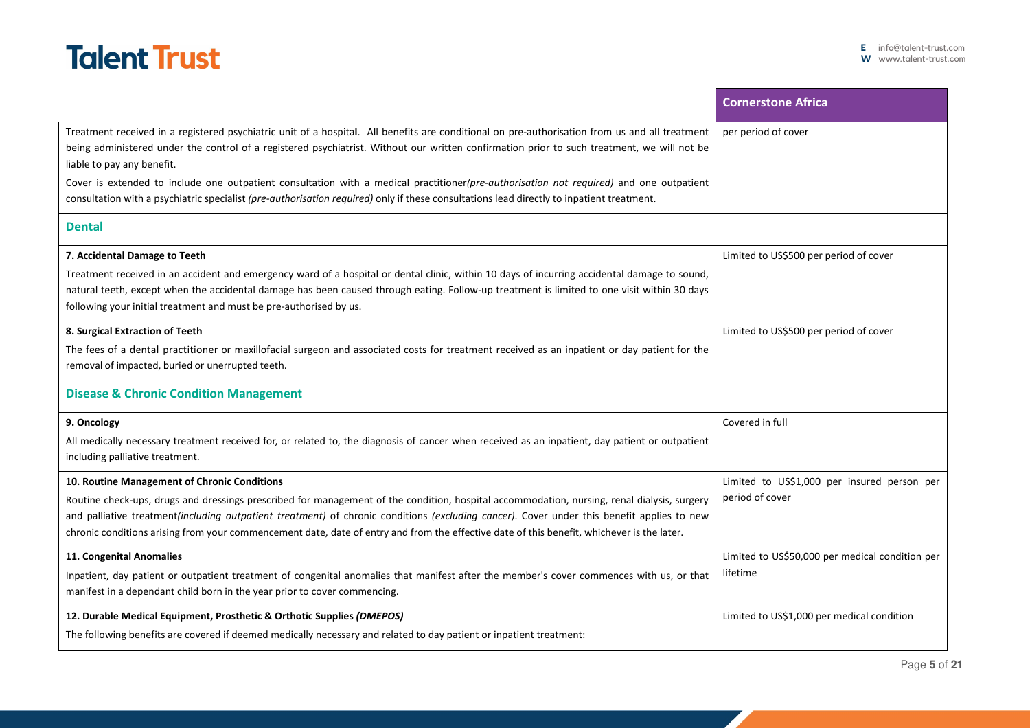

|                                                                                                                                                                                                                                                                                                                                                                                                                                                                                                                                                                                                                     | <b>Cornerstone Africa</b>                                      |
|---------------------------------------------------------------------------------------------------------------------------------------------------------------------------------------------------------------------------------------------------------------------------------------------------------------------------------------------------------------------------------------------------------------------------------------------------------------------------------------------------------------------------------------------------------------------------------------------------------------------|----------------------------------------------------------------|
| Treatment received in a registered psychiatric unit of a hospital. All benefits are conditional on pre-authorisation from us and all treatment<br>being administered under the control of a registered psychiatrist. Without our written confirmation prior to such treatment, we will not be<br>liable to pay any benefit.<br>Cover is extended to include one outpatient consultation with a medical practitioner(pre-authorisation not required) and one outpatient<br>consultation with a psychiatric specialist (pre-authorisation required) only if these consultations lead directly to inpatient treatment. | per period of cover                                            |
| <b>Dental</b>                                                                                                                                                                                                                                                                                                                                                                                                                                                                                                                                                                                                       |                                                                |
| 7. Accidental Damage to Teeth<br>Treatment received in an accident and emergency ward of a hospital or dental clinic, within 10 days of incurring accidental damage to sound,<br>natural teeth, except when the accidental damage has been caused through eating. Follow-up treatment is limited to one visit within 30 days<br>following your initial treatment and must be pre-authorised by us.                                                                                                                                                                                                                  | Limited to US\$500 per period of cover                         |
| 8. Surgical Extraction of Teeth<br>The fees of a dental practitioner or maxillofacial surgeon and associated costs for treatment received as an inpatient or day patient for the<br>removal of impacted, buried or unerrupted teeth.                                                                                                                                                                                                                                                                                                                                                                                | Limited to US\$500 per period of cover                         |
| <b>Disease &amp; Chronic Condition Management</b>                                                                                                                                                                                                                                                                                                                                                                                                                                                                                                                                                                   |                                                                |
| 9. Oncology<br>All medically necessary treatment received for, or related to, the diagnosis of cancer when received as an inpatient, day patient or outpatient<br>including palliative treatment.                                                                                                                                                                                                                                                                                                                                                                                                                   | Covered in full                                                |
| 10. Routine Management of Chronic Conditions<br>Routine check-ups, drugs and dressings prescribed for management of the condition, hospital accommodation, nursing, renal dialysis, surgery<br>and palliative treatment(including outpatient treatment) of chronic conditions (excluding cancer). Cover under this benefit applies to new<br>chronic conditions arising from your commencement date, date of entry and from the effective date of this benefit, whichever is the later.                                                                                                                             | Limited to US\$1,000 per insured person per<br>period of cover |
| 11. Congenital Anomalies<br>Inpatient, day patient or outpatient treatment of congenital anomalies that manifest after the member's cover commences with us, or that<br>manifest in a dependant child born in the year prior to cover commencing.                                                                                                                                                                                                                                                                                                                                                                   | Limited to US\$50,000 per medical condition per<br>lifetime    |
| 12. Durable Medical Equipment, Prosthetic & Orthotic Supplies (DMEPOS)<br>The following benefits are covered if deemed medically necessary and related to day patient or inpatient treatment:                                                                                                                                                                                                                                                                                                                                                                                                                       | Limited to US\$1,000 per medical condition                     |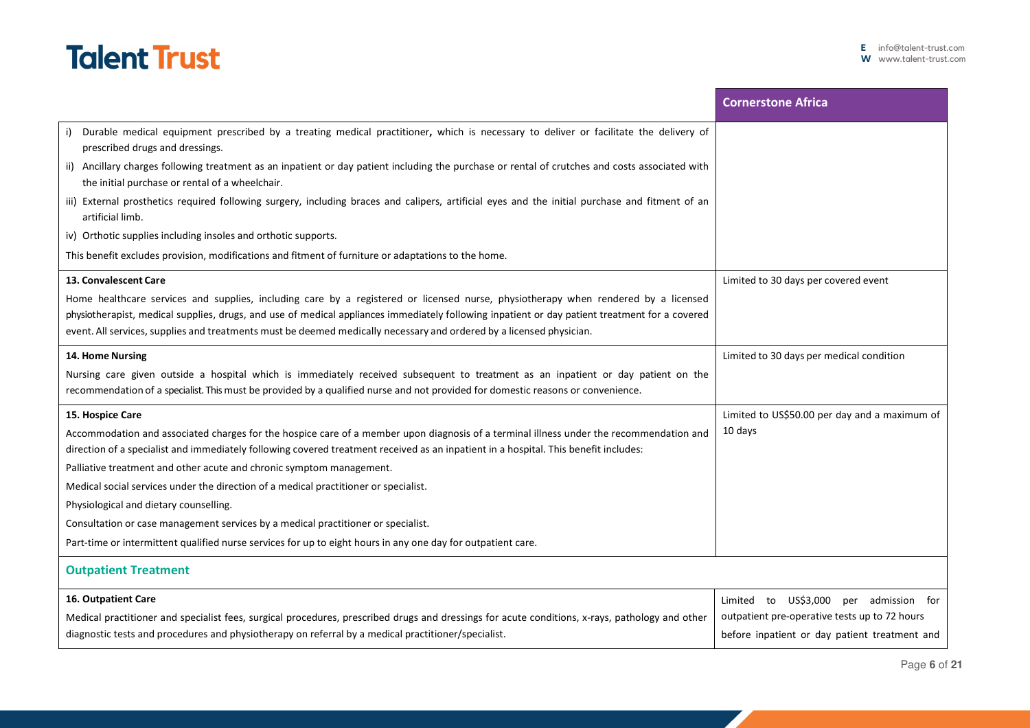|                                                                                                                                                                                                                                                                                 | <b>Cornerstone Africa</b>                     |
|---------------------------------------------------------------------------------------------------------------------------------------------------------------------------------------------------------------------------------------------------------------------------------|-----------------------------------------------|
| Durable medical equipment prescribed by a treating medical practitioner, which is necessary to deliver or facilitate the delivery of<br>prescribed drugs and dressings.                                                                                                         |                                               |
| ii) Ancillary charges following treatment as an inpatient or day patient including the purchase or rental of crutches and costs associated with<br>the initial purchase or rental of a wheelchair.                                                                              |                                               |
| iii) External prosthetics required following surgery, including braces and calipers, artificial eyes and the initial purchase and fitment of an<br>artificial limb.                                                                                                             |                                               |
| iv) Orthotic supplies including insoles and orthotic supports.                                                                                                                                                                                                                  |                                               |
| This benefit excludes provision, modifications and fitment of furniture or adaptations to the home.                                                                                                                                                                             |                                               |
| 13. Convalescent Care                                                                                                                                                                                                                                                           | Limited to 30 days per covered event          |
| Home healthcare services and supplies, including care by a registered or licensed nurse, physiotherapy when rendered by a licensed                                                                                                                                              |                                               |
| physiotherapist, medical supplies, drugs, and use of medical appliances immediately following inpatient or day patient treatment for a covered<br>event. All services, supplies and treatments must be deemed medically necessary and ordered by a licensed physician.          |                                               |
| 14. Home Nursing                                                                                                                                                                                                                                                                | Limited to 30 days per medical condition      |
| Nursing care given outside a hospital which is immediately received subsequent to treatment as an inpatient or day patient on the<br>recommendation of a specialist. This must be provided by a qualified nurse and not provided for domestic reasons or convenience.           |                                               |
|                                                                                                                                                                                                                                                                                 |                                               |
| 15. Hospice Care                                                                                                                                                                                                                                                                | Limited to US\$50.00 per day and a maximum of |
| Accommodation and associated charges for the hospice care of a member upon diagnosis of a terminal illness under the recommendation and<br>direction of a specialist and immediately following covered treatment received as an inpatient in a hospital. This benefit includes: | 10 days                                       |
| Palliative treatment and other acute and chronic symptom management.                                                                                                                                                                                                            |                                               |
| Medical social services under the direction of a medical practitioner or specialist.                                                                                                                                                                                            |                                               |
| Physiological and dietary counselling.                                                                                                                                                                                                                                          |                                               |
| Consultation or case management services by a medical practitioner or specialist.                                                                                                                                                                                               |                                               |
| Part-time or intermittent qualified nurse services for up to eight hours in any one day for outpatient care.                                                                                                                                                                    |                                               |
| <b>Outpatient Treatment</b>                                                                                                                                                                                                                                                     |                                               |
| 16. Outpatient Care                                                                                                                                                                                                                                                             | Limited to US\$3,000<br>per admission for     |
| Medical practitioner and specialist fees, surgical procedures, prescribed drugs and dressings for acute conditions, x-rays, pathology and other                                                                                                                                 | outpatient pre-operative tests up to 72 hours |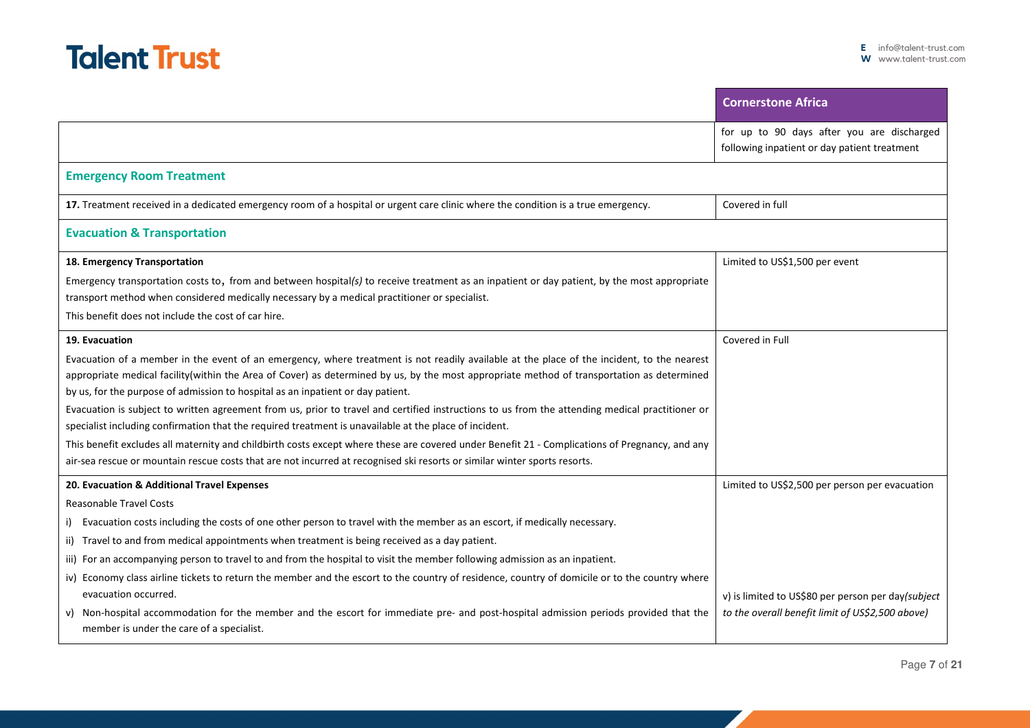|                                                                                                                                                                                                                                                                                                                                                                             | <b>Cornerstone Africa</b>                                                                  |
|-----------------------------------------------------------------------------------------------------------------------------------------------------------------------------------------------------------------------------------------------------------------------------------------------------------------------------------------------------------------------------|--------------------------------------------------------------------------------------------|
|                                                                                                                                                                                                                                                                                                                                                                             | for up to 90 days after you are discharged<br>following inpatient or day patient treatment |
| <b>Emergency Room Treatment</b>                                                                                                                                                                                                                                                                                                                                             |                                                                                            |
| 17. Treatment received in a dedicated emergency room of a hospital or urgent care clinic where the condition is a true emergency.                                                                                                                                                                                                                                           | Covered in full                                                                            |
| <b>Evacuation &amp; Transportation</b>                                                                                                                                                                                                                                                                                                                                      |                                                                                            |
| 18. Emergency Transportation                                                                                                                                                                                                                                                                                                                                                | Limited to US\$1,500 per event                                                             |
| Emergency transportation costs to, from and between hospital(s) to receive treatment as an inpatient or day patient, by the most appropriate<br>transport method when considered medically necessary by a medical practitioner or specialist.                                                                                                                               |                                                                                            |
| This benefit does not include the cost of car hire.                                                                                                                                                                                                                                                                                                                         |                                                                                            |
| 19. Evacuation                                                                                                                                                                                                                                                                                                                                                              | Covered in Full                                                                            |
| Evacuation of a member in the event of an emergency, where treatment is not readily available at the place of the incident, to the nearest<br>appropriate medical facility(within the Area of Cover) as determined by us, by the most appropriate method of transportation as determined<br>by us, for the purpose of admission to hospital as an inpatient or day patient. |                                                                                            |
| Evacuation is subject to written agreement from us, prior to travel and certified instructions to us from the attending medical practitioner or<br>specialist including confirmation that the required treatment is unavailable at the place of incident.                                                                                                                   |                                                                                            |
| This benefit excludes all maternity and childbirth costs except where these are covered under Benefit 21 - Complications of Pregnancy, and any<br>air-sea rescue or mountain rescue costs that are not incurred at recognised ski resorts or similar winter sports resorts.                                                                                                 |                                                                                            |
| 20. Evacuation & Additional Travel Expenses                                                                                                                                                                                                                                                                                                                                 | Limited to US\$2,500 per person per evacuation                                             |
| <b>Reasonable Travel Costs</b>                                                                                                                                                                                                                                                                                                                                              |                                                                                            |
| i) Evacuation costs including the costs of one other person to travel with the member as an escort, if medically necessary.                                                                                                                                                                                                                                                 |                                                                                            |
| ii) Travel to and from medical appointments when treatment is being received as a day patient.                                                                                                                                                                                                                                                                              |                                                                                            |
| iii) For an accompanying person to travel to and from the hospital to visit the member following admission as an inpatient.                                                                                                                                                                                                                                                 |                                                                                            |
| iv) Economy class airline tickets to return the member and the escort to the country of residence, country of domicile or to the country where<br>evacuation occurred.                                                                                                                                                                                                      | v) is limited to US\$80 per person per day(subject                                         |
| v) Non-hospital accommodation for the member and the escort for immediate pre- and post-hospital admission periods provided that the<br>member is under the care of a specialist.                                                                                                                                                                                           | to the overall benefit limit of US\$2,500 above)                                           |

٠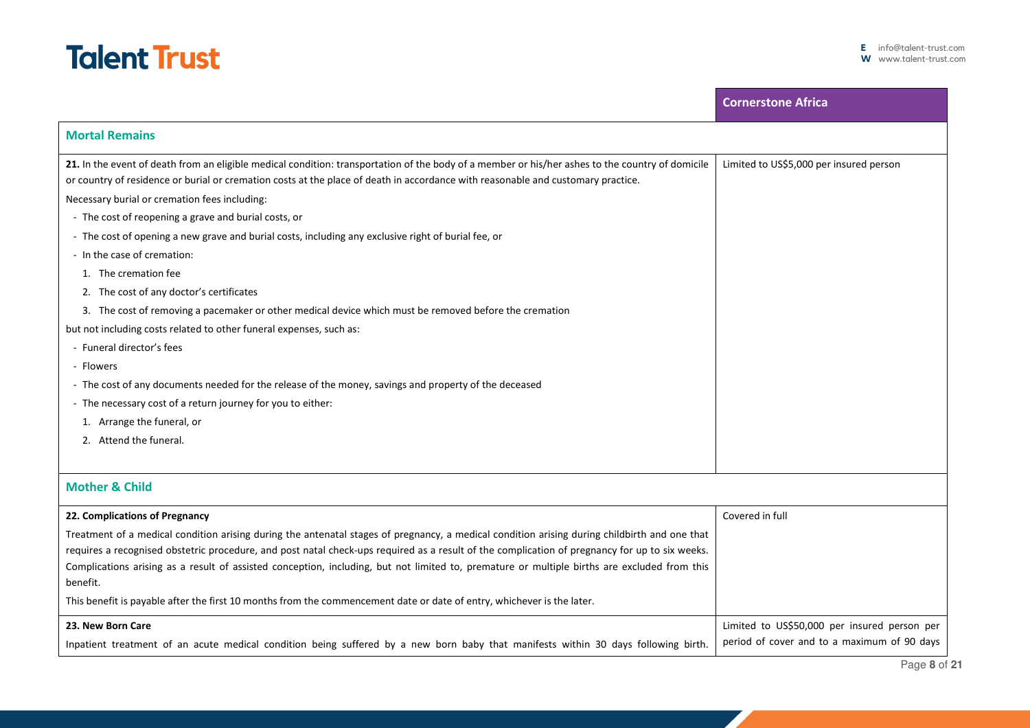|                                                                                                                                                                                                                                                                                      | <b>Cornerstone Africa</b>                    |
|--------------------------------------------------------------------------------------------------------------------------------------------------------------------------------------------------------------------------------------------------------------------------------------|----------------------------------------------|
| <b>Mortal Remains</b>                                                                                                                                                                                                                                                                |                                              |
| 21. In the event of death from an eligible medical condition: transportation of the body of a member or his/her ashes to the country of domicile<br>or country of residence or burial or cremation costs at the place of death in accordance with reasonable and customary practice. | Limited to US\$5,000 per insured person      |
| Necessary burial or cremation fees including:                                                                                                                                                                                                                                        |                                              |
| - The cost of reopening a grave and burial costs, or                                                                                                                                                                                                                                 |                                              |
| - The cost of opening a new grave and burial costs, including any exclusive right of burial fee, or                                                                                                                                                                                  |                                              |
| - In the case of cremation:                                                                                                                                                                                                                                                          |                                              |
| 1. The cremation fee                                                                                                                                                                                                                                                                 |                                              |
| 2. The cost of any doctor's certificates                                                                                                                                                                                                                                             |                                              |
| 3. The cost of removing a pacemaker or other medical device which must be removed before the cremation                                                                                                                                                                               |                                              |
| but not including costs related to other funeral expenses, such as:                                                                                                                                                                                                                  |                                              |
| - Funeral director's fees                                                                                                                                                                                                                                                            |                                              |
| - Flowers                                                                                                                                                                                                                                                                            |                                              |
| - The cost of any documents needed for the release of the money, savings and property of the deceased                                                                                                                                                                                |                                              |
| - The necessary cost of a return journey for you to either:                                                                                                                                                                                                                          |                                              |
| 1. Arrange the funeral, or                                                                                                                                                                                                                                                           |                                              |
| 2. Attend the funeral.                                                                                                                                                                                                                                                               |                                              |
|                                                                                                                                                                                                                                                                                      |                                              |
| <b>Mother &amp; Child</b>                                                                                                                                                                                                                                                            |                                              |
| 22. Complications of Pregnancy                                                                                                                                                                                                                                                       | Covered in full                              |
| Treatment of a medical condition arising during the antenatal stages of pregnancy, a medical condition arising during childbirth and one that                                                                                                                                        |                                              |
| requires a recognised obstetric procedure, and post natal check-ups required as a result of the complication of pregnancy for up to six weeks.                                                                                                                                       |                                              |
| Complications arising as a result of assisted conception, including, but not limited to, premature or multiple births are excluded from this<br>benefit.                                                                                                                             |                                              |
| This benefit is payable after the first 10 months from the commencement date or date of entry, whichever is the later.                                                                                                                                                               |                                              |
| 23. New Born Care                                                                                                                                                                                                                                                                    | Limited to US\$50,000 per insured person per |
| Inpatient treatment of an acute medical condition being suffered by a new born baby that manifests within 30 days following birth.                                                                                                                                                   | period of cover and to a maximum of 90 days  |

I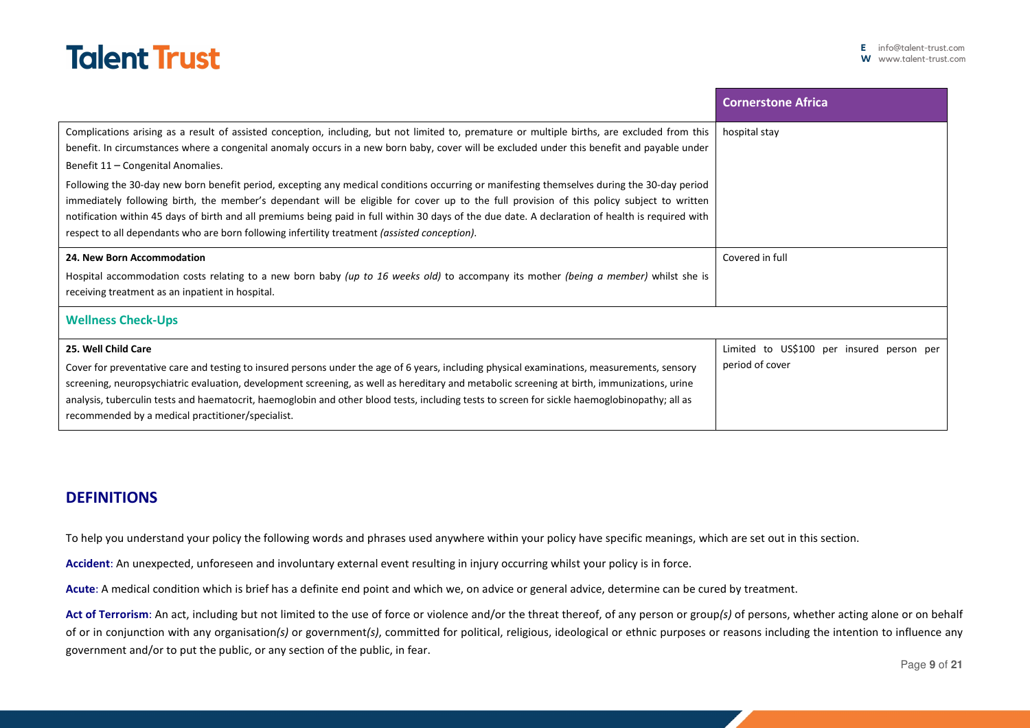

|                                                                                                                                                                                                                                                                                                                                                                                                                                                                                                                                                                                                                                                                                                                                                                                                                                                                                      | <b>Cornerstone Africa</b>                                    |
|--------------------------------------------------------------------------------------------------------------------------------------------------------------------------------------------------------------------------------------------------------------------------------------------------------------------------------------------------------------------------------------------------------------------------------------------------------------------------------------------------------------------------------------------------------------------------------------------------------------------------------------------------------------------------------------------------------------------------------------------------------------------------------------------------------------------------------------------------------------------------------------|--------------------------------------------------------------|
| Complications arising as a result of assisted conception, including, but not limited to, premature or multiple births, are excluded from this<br>benefit. In circumstances where a congenital anomaly occurs in a new born baby, cover will be excluded under this benefit and payable under<br>Benefit 11 - Congenital Anomalies.<br>Following the 30-day new born benefit period, excepting any medical conditions occurring or manifesting themselves during the 30-day period<br>immediately following birth, the member's dependant will be eligible for cover up to the full provision of this policy subject to written<br>notification within 45 days of birth and all premiums being paid in full within 30 days of the due date. A declaration of health is required with<br>respect to all dependants who are born following infertility treatment (assisted conception). | hospital stay                                                |
| 24. New Born Accommodation<br>Hospital accommodation costs relating to a new born baby (up to 16 weeks old) to accompany its mother (being a member) whilst she is<br>receiving treatment as an inpatient in hospital.                                                                                                                                                                                                                                                                                                                                                                                                                                                                                                                                                                                                                                                               | Covered in full                                              |
| <b>Wellness Check-Ups</b>                                                                                                                                                                                                                                                                                                                                                                                                                                                                                                                                                                                                                                                                                                                                                                                                                                                            |                                                              |
| 25. Well Child Care<br>Cover for preventative care and testing to insured persons under the age of 6 years, including physical examinations, measurements, sensory<br>screening, neuropsychiatric evaluation, development screening, as well as hereditary and metabolic screening at birth, immunizations, urine<br>analysis, tuberculin tests and haematocrit, haemoglobin and other blood tests, including tests to screen for sickle haemoglobinopathy; all as<br>recommended by a medical practitioner/specialist.                                                                                                                                                                                                                                                                                                                                                              | Limited to US\$100 per insured person per<br>period of cover |

## **DEFINITIONS**

To help you understand your policy the following words and phrases used anywhere within your policy have specific meanings, which are set out in this section.

**Accident**: An unexpected, unforeseen and involuntary external event resulting in injury occurring whilst your policy is in force.

**Acute**: A medical condition which is brief has a definite end point and which we, on advice or general advice, determine can be cured by treatment.

**Act of Terrorism**: An act, including but not limited to the use of force or violence and/or the threat thereof, of any person or group*(s)* of persons, whether acting alone or on behalf of or in conjunction with any organisation*(s)* or government*(s)*, committed for political, religious, ideological or ethnic purposes or reasons including the intention to influence any government and/or to put the public, or any section of the public, in fear.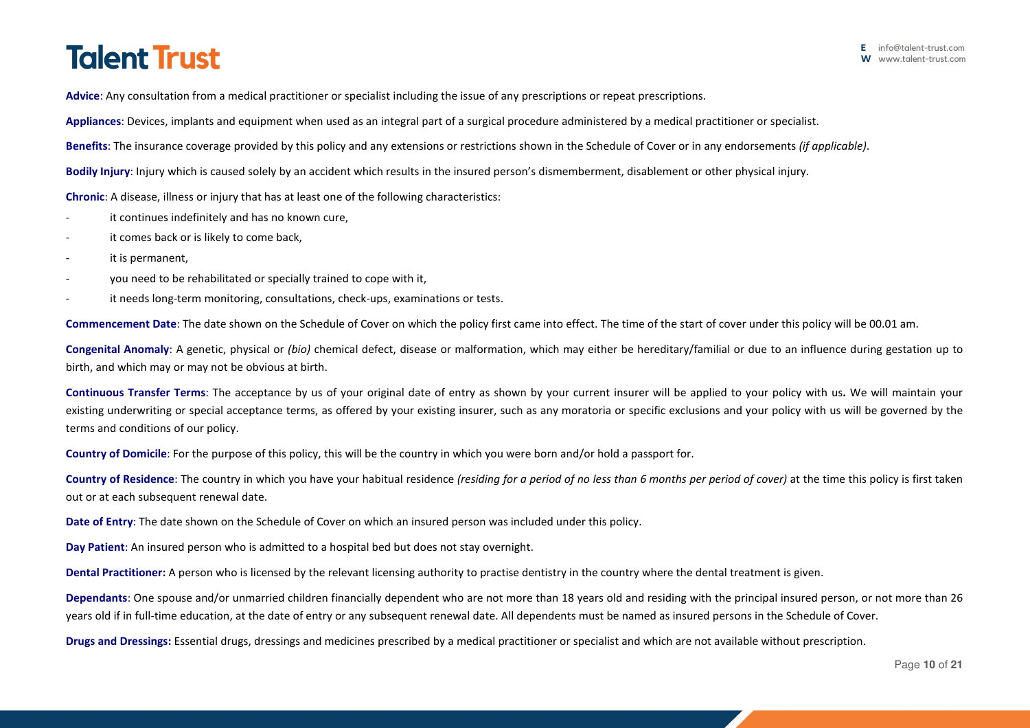**Advice**: Any consultation from a medical practitioner or specialist including the issue of any prescriptions or repeat prescriptions.

**Appliances**: Devices, implants and equipment when used as an integral part of a surgical procedure administered by a medical practitioner or specialist.

**Benefits**: The insurance coverage provided by this policy and any extensions or restrictions shown in the Schedule of Cover or in any endorsements *(if applicable)*.

**Bodily Injury**: Injury which is caused solely by an accident which results in the insured person's dismemberment, disablement or other physical injury.

**Chronic**: A disease, illness or injury that has at least one of the following characteristics:

- it continues indefinitely and has no known cure,
- it comes back or is likely to come back,
- it is permanent,
- you need to be rehabilitated or specially trained to cope with it,
- it needs long-term monitoring, consultations, check-ups, examinations or tests.

**Commencement Date**: The date shown on the Schedule of Cover on which the policy first came into effect. The time of the start of cover under this policy will be 00.01 am.

**Congenital Anomaly**: A genetic, physical or *(bio)* chemical defect, disease or malformation, which may either be hereditary/familial or due to an influence during gestation up to birth, and which may or may not be obvious at birth.

**Continuous Transfer Terms**: The acceptance by us of your original date of entry as shown by your current insurer will be applied to your policy with us**.** We will maintain your existing underwriting or special acceptance terms, as offered by your existing insurer, such as any moratoria or specific exclusions and your policy with us will be governed by the terms and conditions of our policy.

**Country of Domicile**: For the purpose of this policy, this will be the country in which you were born and/or hold a passport for.

**Country of Residence**: The country in which you have your habitual residence *(residing for a period of no less than 6 months per period of cover)* at the time this policy is first taken out or at each subsequent renewal date.

**Date of Entry**: The date shown on the Schedule of Cover on which an insured person was included under this policy.

**Day Patient**: An insured person who is admitted to a hospital bed but does not stay overnight.

**Dental Practitioner:** A person who is licensed by the relevant licensing authority to practise dentistry in the country where the dental treatment is given.

**Dependants**: One spouse and/or unmarried children financially dependent who are not more than 18 years old and residing with the principal insured person, or not more than 26 years old if in full-time education, at the date of entry or any subsequent renewal date. All dependents must be named as insured persons in the Schedule of Cover.

**Drugs and Dressings:** Essential drugs, dressings and medicines prescribed by a medical practitioner or specialist and which are not available without prescription.

Page **10** of **21**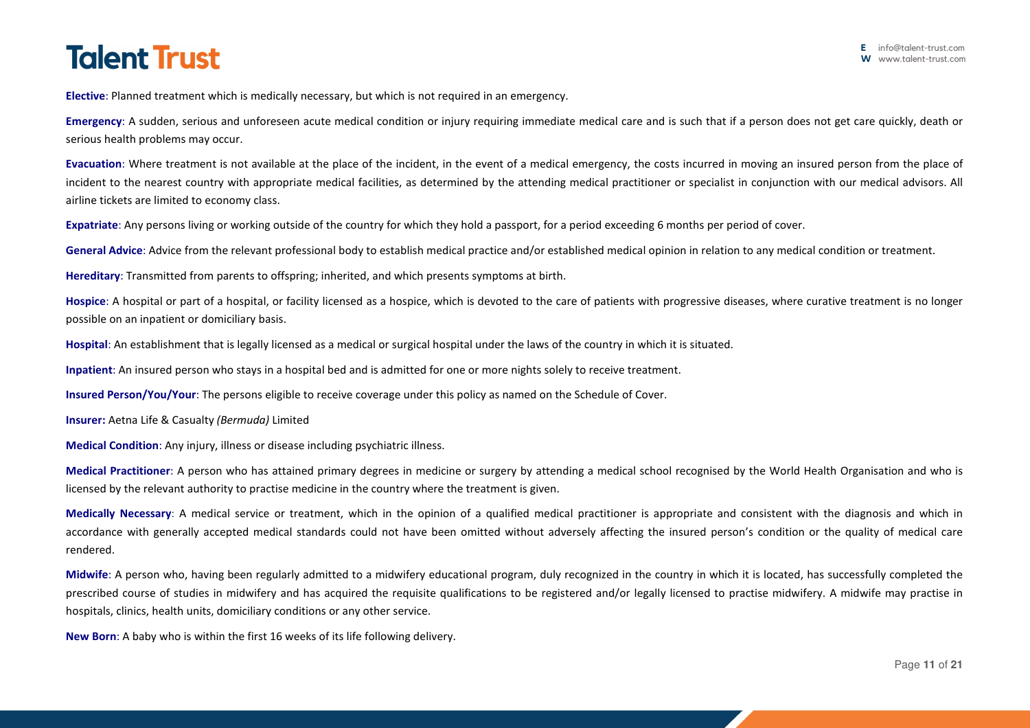**Elective**: Planned treatment which is medically necessary, but which is not required in an emergency.

**Emergency**: A sudden, serious and unforeseen acute medical condition or injury requiring immediate medical care and is such that if a person does not get care quickly, death or serious health problems may occur.

**Evacuation**: Where treatment is not available at the place of the incident, in the event of a medical emergency, the costs incurred in moving an insured person from the place of incident to the nearest country with appropriate medical facilities, as determined by the attending medical practitioner or specialist in conjunction with our medical advisors. All airline tickets are limited to economy class.

**Expatriate**: Any persons living or working outside of the country for which they hold a passport, for a period exceeding 6 months per period of cover.

General Advice: Advice from the relevant professional body to establish medical practice and/or established medical opinion in relation to any medical condition or treatment.

**Hereditary**: Transmitted from parents to offspring; inherited, and which presents symptoms at birth.

**Hospice**: A hospital or part of a hospital, or facility licensed as a hospice, which is devoted to the care of patients with progressive diseases, where curative treatment is no longer possible on an inpatient or domiciliary basis.

**Hospital**: An establishment that is legally licensed as a medical or surgical hospital under the laws of the country in which it is situated.

**Inpatient**: An insured person who stays in a hospital bed and is admitted for one or more nights solely to receive treatment.

**Insured Person/You/Your**: The persons eligible to receive coverage under this policy as named on the Schedule of Cover.

**Insurer:** Aetna Life & Casualty *(Bermuda)* Limited

**Medical Condition**: Any injury, illness or disease including psychiatric illness.

**Medical Practitioner**: A person who has attained primary degrees in medicine or surgery by attending a medical school recognised by the World Health Organisation and who is licensed by the relevant authority to practise medicine in the country where the treatment is given.

**Medically Necessary**: A medical service or treatment, which in the opinion of a qualified medical practitioner is appropriate and consistent with the diagnosis and which in accordance with generally accepted medical standards could not have been omitted without adversely affecting the insured person's condition or the quality of medical care rendered.

**Midwife**: A person who, having been regularly admitted to a midwifery educational program, duly recognized in the country in which it is located, has successfully completed the prescribed course of studies in midwifery and has acquired the requisite qualifications to be registered and/or legally licensed to practise midwifery. A midwife may practise in hospitals, clinics, health units, domiciliary conditions or any other service.

**New Born**: A baby who is within the first 16 weeks of its life following delivery.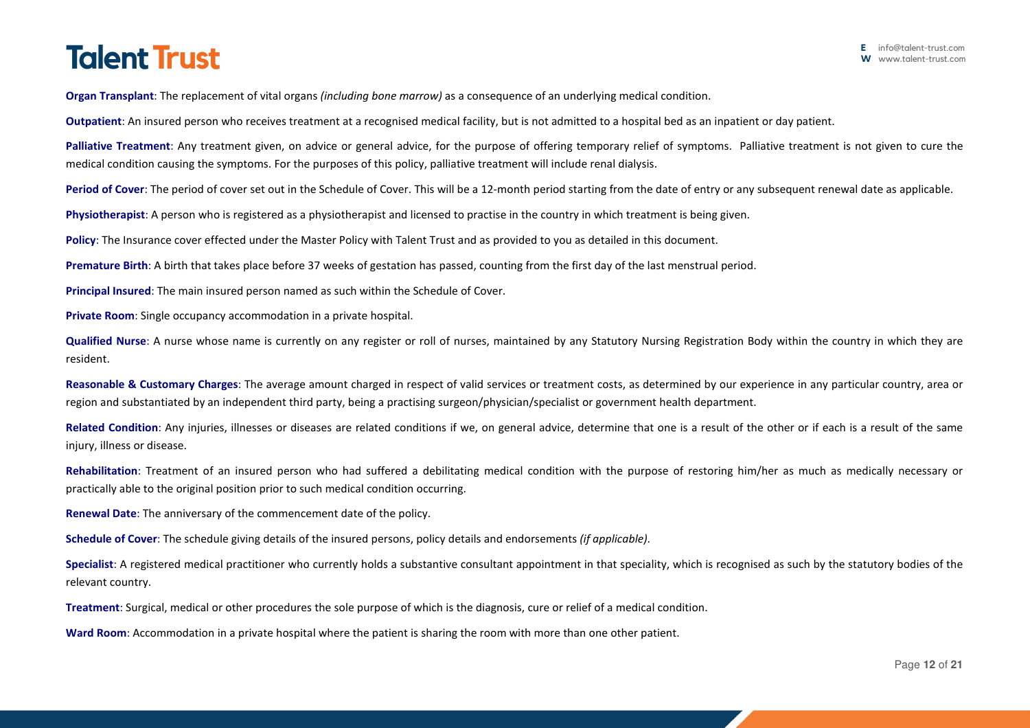**Organ Transplant**: The replacement of vital organs *(including bone marrow)* as a consequence of an underlying medical condition.

**Outpatient**: An insured person who receives treatment at a recognised medical facility, but is not admitted to a hospital bed as an inpatient or day patient.

**Palliative Treatment**: Any treatment given, on advice or general advice, for the purpose of offering temporary relief of symptoms. Palliative treatment is not given to cure the medical condition causing the symptoms. For the purposes of this policy, palliative treatment will include renal dialysis.

Period of Cover: The period of cover set out in the Schedule of Cover. This will be a 12-month period starting from the date of entry or any subsequent renewal date as applicable.

**Physiotherapist**: A person who is registered as a physiotherapist and licensed to practise in the country in which treatment is being given.

**Policy**: The Insurance cover effected under the Master Policy with Talent Trust and as provided to you as detailed in this document.

**Premature Birth**: A birth that takes place before 37 weeks of gestation has passed, counting from the first day of the last menstrual period.

**Principal Insured**: The main insured person named as such within the Schedule of Cover.

**Private Room**: Single occupancy accommodation in a private hospital.

**Qualified Nurse**: A nurse whose name is currently on any register or roll of nurses, maintained by any Statutory Nursing Registration Body within the country in which they are resident.

**Reasonable & Customary Charges**: The average amount charged in respect of valid services or treatment costs, as determined by our experience in any particular country, area or region and substantiated by an independent third party, being a practising surgeon/physician/specialist or government health department.

**Related Condition**: Any injuries, illnesses or diseases are related conditions if we, on general advice, determine that one is a result of the other or if each is a result of the same injury, illness or disease.

**Rehabilitation**: Treatment of an insured person who had suffered a debilitating medical condition with the purpose of restoring him/her as much as medically necessary or practically able to the original position prior to such medical condition occurring.

**Renewal Date**: The anniversary of the commencement date of the policy.

**Schedule of Cover**: The schedule giving details of the insured persons, policy details and endorsements *(if applicable)*.

**Specialist**: A registered medical practitioner who currently holds a substantive consultant appointment in that speciality, which is recognised as such by the statutory bodies of the relevant country.

**Treatment**: Surgical, medical or other procedures the sole purpose of which is the diagnosis, cure or relief of a medical condition.

**Ward Room**: Accommodation in a private hospital where the patient is sharing the room with more than one other patient.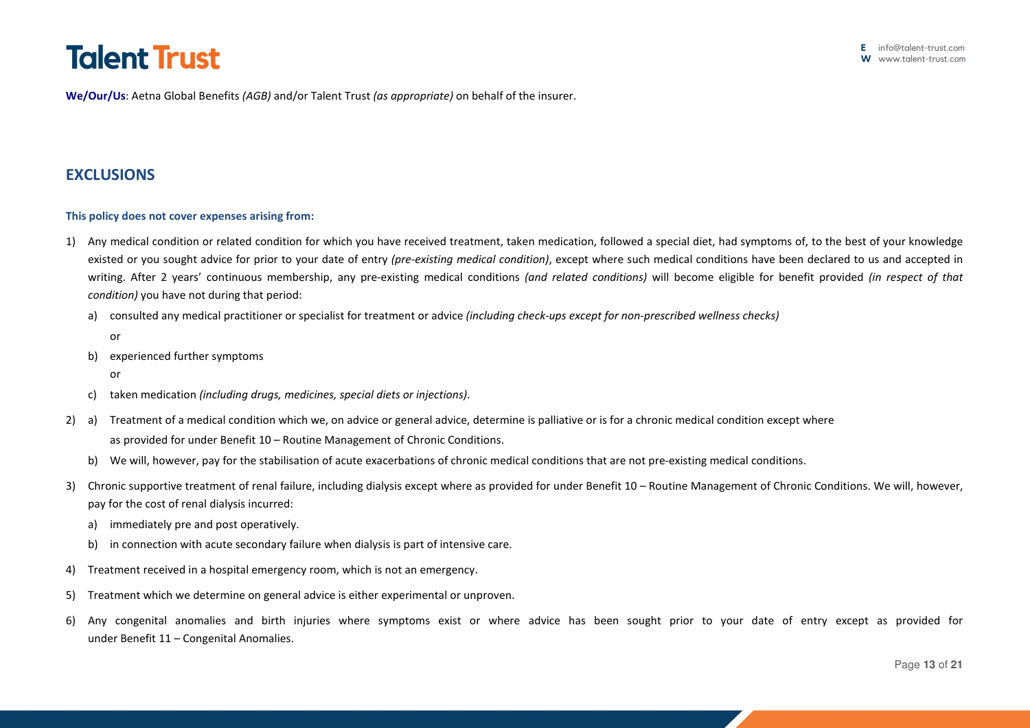**We/Our/Us**: Aetna Global Benefits *(AGB)* and/or Talent Trust *(as appropriate)* on behalf of the insurer.

# **EXCLUSIONS**

## **This policy does not cover expenses arising from:**

- 1) Any medical condition or related condition for which you have received treatment, taken medication, followed a special diet, had symptoms of, to the best of your knowledge existed or you sought advice for prior to your date of entry *(pre-existing medical condition)*, except where such medical conditions have been declared to us and accepted in writing. After 2 years' continuous membership, any pre-existing medical conditions *(and related conditions)* will become eligible for benefit provided *(in respect of that condition)* you have not during that period:
	- a) consulted any medical practitioner or specialist for treatment or advice *(including check-ups except for non-prescribed wellness checks)*
		- or
	- b) experienced further symptoms
		- or
	- c) taken medication *(including drugs, medicines, special diets or injections)*.
- 2) a) Treatment of a medical condition which we, on advice or general advice, determine is palliative or is for a chronic medical condition except where as provided for under Benefit 10 – Routine Management of Chronic Conditions.
	- b) We will, however, pay for the stabilisation of acute exacerbations of chronic medical conditions that are not pre-existing medical conditions.
- 3) Chronic supportive treatment of renal failure, including dialysis except where as provided for under Benefit 10 Routine Management of Chronic Conditions. We will, however, pay for the cost of renal dialysis incurred:
	- a) immediately pre and post operatively.
	- b) in connection with acute secondary failure when dialysis is part of intensive care.
- 4) Treatment received in a hospital emergency room, which is not an emergency.
- 5) Treatment which we determine on general advice is either experimental or unproven.
- 6) Any congenital anomalies and birth injuries where symptoms exist or where advice has been sought prior to your date of entry except as provided for under Benefit 11 – Congenital Anomalies.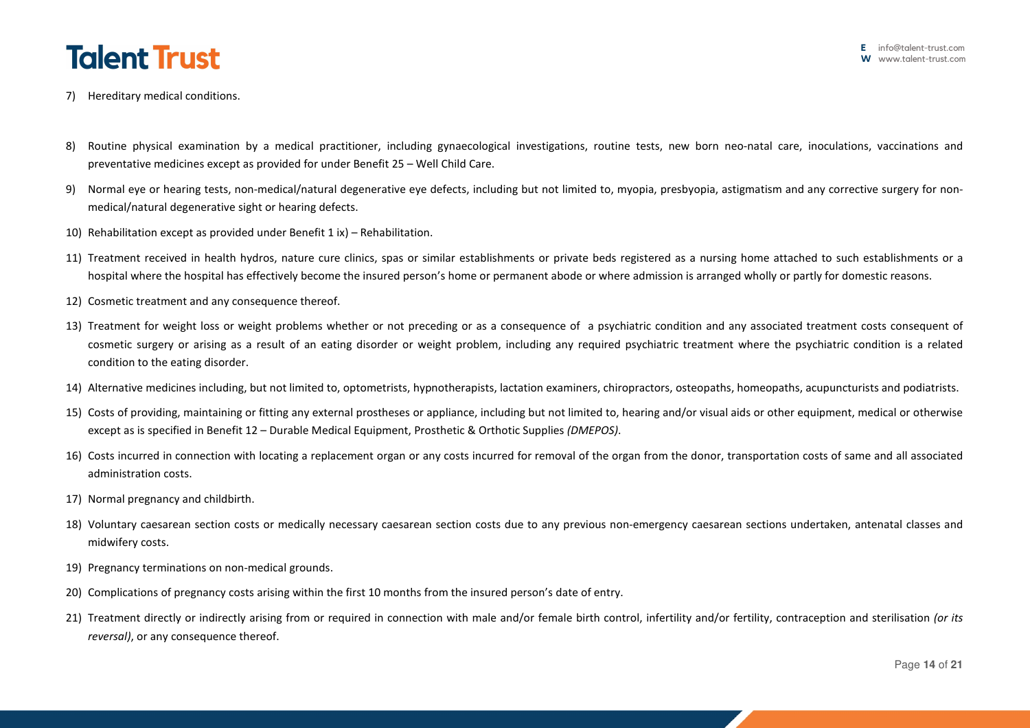- 7) Hereditary medical conditions.
- 8) Routine physical examination by a medical practitioner, including gynaecological investigations, routine tests, new born neo-natal care, inoculations, vaccinations and preventative medicines except as provided for under Benefit 25 – Well Child Care.
- 9) Normal eye or hearing tests, non-medical/natural degenerative eye defects, including but not limited to, myopia, presbyopia, astigmatism and any corrective surgery for nonmedical/natural degenerative sight or hearing defects.
- 10) Rehabilitation except as provided under Benefit 1 ix) Rehabilitation.
- 11) Treatment received in health hydros, nature cure clinics, spas or similar establishments or private beds registered as a nursing home attached to such establishments or a hospital where the hospital has effectively become the insured person's home or permanent abode or where admission is arranged wholly or partly for domestic reasons.
- 12) Cosmetic treatment and any consequence thereof.
- 13) Treatment for weight loss or weight problems whether or not preceding or as a consequence of a psychiatric condition and any associated treatment costs consequent of cosmetic surgery or arising as a result of an eating disorder or weight problem, including any required psychiatric treatment where the psychiatric condition is a related condition to the eating disorder.
- 14) Alternative medicines including, but not limited to, optometrists, hypnotherapists, lactation examiners, chiropractors, osteopaths, homeopaths, acupuncturists and podiatrists.
- 15) Costs of providing, maintaining or fitting any external prostheses or appliance, including but not limited to, hearing and/or visual aids or other equipment, medical or otherwise except as is specified in Benefit 12 – Durable Medical Equipment, Prosthetic & Orthotic Supplies *(DMEPOS)*.
- 16) Costs incurred in connection with locating a replacement organ or any costs incurred for removal of the organ from the donor, transportation costs of same and all associated administration costs.
- 17) Normal pregnancy and childbirth.
- 18) Voluntary caesarean section costs or medically necessary caesarean section costs due to any previous non-emergency caesarean sections undertaken, antenatal classes and midwifery costs.
- 19) Pregnancy terminations on non-medical grounds.
- 20) Complications of pregnancy costs arising within the first 10 months from the insured person's date of entry.
- 21) Treatment directly or indirectly arising from or required in connection with male and/or female birth control, infertility and/or fertility, contraception and sterilisation *(or its reversal)*, or any consequence thereof.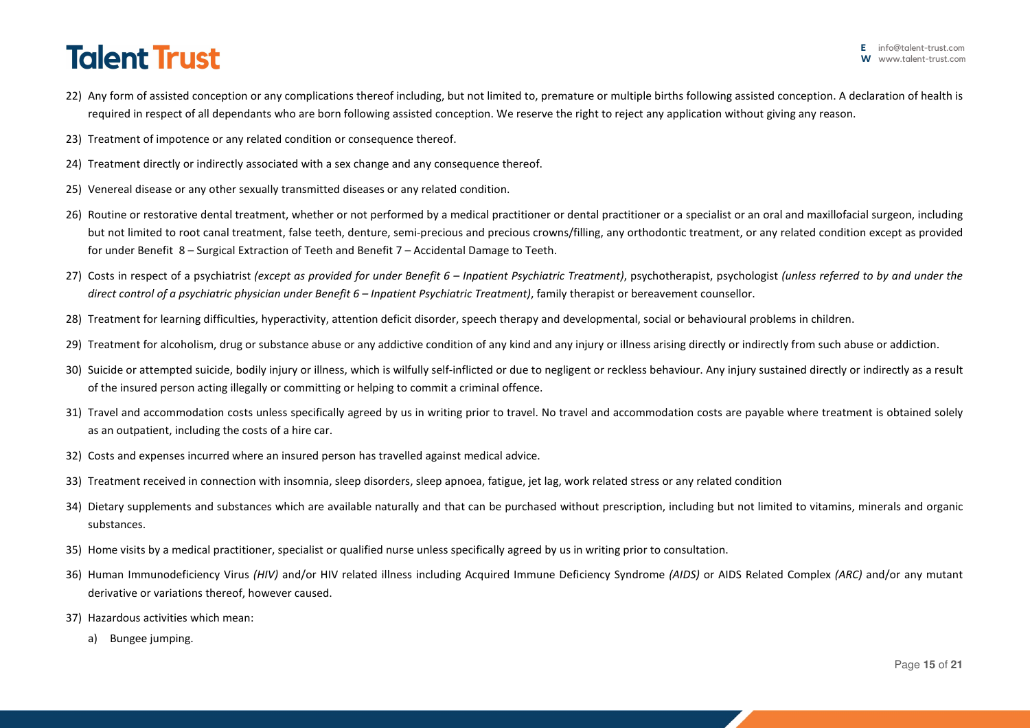- 22) Any form of assisted conception or any complications thereof including, but not limited to, premature or multiple births following assisted conception. A declaration of health is required in respect of all dependants who are born following assisted conception. We reserve the right to reject any application without giving any reason.
- 23) Treatment of impotence or any related condition or consequence thereof.
- 24) Treatment directly or indirectly associated with a sex change and any consequence thereof.
- 25) Venereal disease or any other sexually transmitted diseases or any related condition.
- 26) Routine or restorative dental treatment, whether or not performed by a medical practitioner or dental practitioner or a specialist or an oral and maxillofacial surgeon, including but not limited to root canal treatment, false teeth, denture, semi-precious and precious crowns/filling, any orthodontic treatment, or any related condition except as provided for under Benefit 8 – Surgical Extraction of Teeth and Benefit 7 – Accidental Damage to Teeth.
- 27) Costs in respect of a psychiatrist *(except as provided for under Benefit 6 Inpatient Psychiatric Treatment)*, psychotherapist, psychologist *(unless referred to by and under the direct control of a psychiatric physician under Benefit 6 – Inpatient Psychiatric Treatment)*, family therapist or bereavement counsellor.
- 28) Treatment for learning difficulties, hyperactivity, attention deficit disorder, speech therapy and developmental, social or behavioural problems in children.
- 29) Treatment for alcoholism, drug or substance abuse or any addictive condition of any kind and any injury or illness arising directly or indirectly from such abuse or addiction.
- 30) Suicide or attempted suicide, bodily injury or illness, which is wilfully self-inflicted or due to negligent or reckless behaviour. Any injury sustained directly or indirectly as a result of the insured person acting illegally or committing or helping to commit a criminal offence.
- 31) Travel and accommodation costs unless specifically agreed by us in writing prior to travel. No travel and accommodation costs are payable where treatment is obtained solely as an outpatient, including the costs of a hire car.
- 32) Costs and expenses incurred where an insured person has travelled against medical advice.
- 33) Treatment received in connection with insomnia, sleep disorders, sleep apnoea, fatigue, jet lag, work related stress or any related condition
- 34) Dietary supplements and substances which are available naturally and that can be purchased without prescription, including but not limited to vitamins, minerals and organic substances.
- 35) Home visits by a medical practitioner, specialist or qualified nurse unless specifically agreed by us in writing prior to consultation.
- 36) Human Immunodeficiency Virus *(HIV)* and/or HIV related illness including Acquired Immune Deficiency Syndrome *(AIDS)* or AIDS Related Complex *(ARC)* and/or any mutant derivative or variations thereof, however caused.
- 37) Hazardous activities which mean:
	- a) Bungee jumping.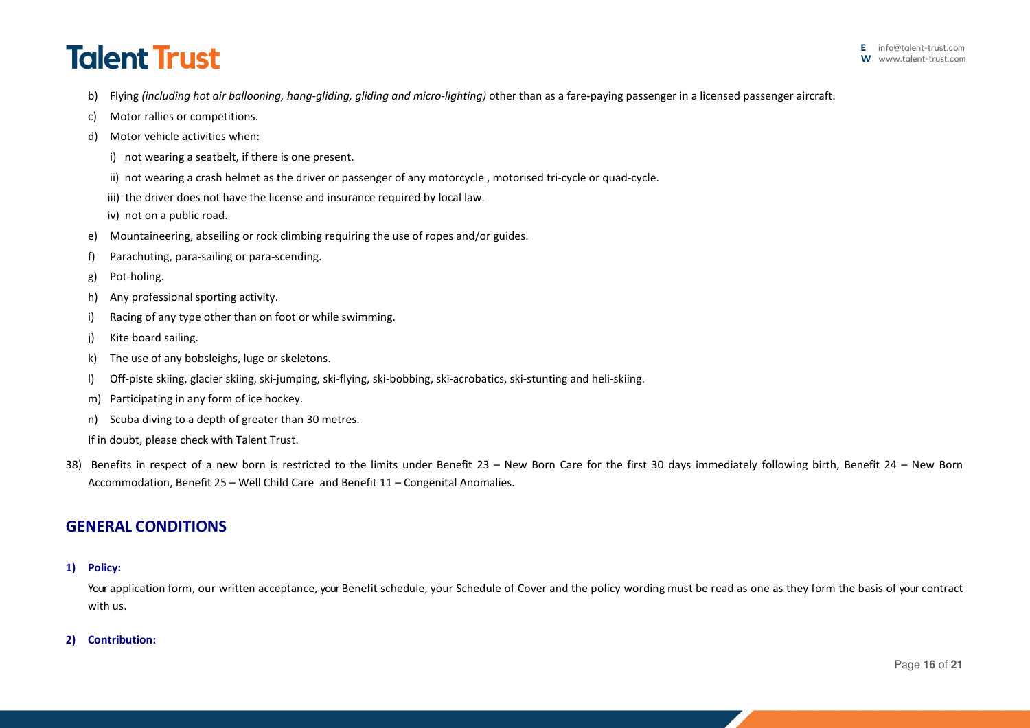- b) Flying *(including hot air ballooning, hang-gliding, gliding and micro-lighting*) other than as a fare-paying passenger in a licensed passenger aircraft.
- c) Motor rallies or competitions.
- d) Motor vehicle activities when:
	- i) not wearing a seatbelt, if there is one present.
	- ii) not wearing a crash helmet as the driver or passenger of any motorcycle , motorised tri-cycle or quad-cycle.
	- iii) the driver does not have the license and insurance required by local law.
	- iv) not on a public road.
- e) Mountaineering, abseiling or rock climbing requiring the use of ropes and/or guides.
- f) Parachuting, para-sailing or para-scending.
- g) Pot-holing.
- h) Any professional sporting activity.
- i) Racing of any type other than on foot or while swimming.
- j) Kite board sailing.
- k) The use of any bobsleighs, luge or skeletons.
- l) Off-piste skiing, glacier skiing, ski-jumping, ski-flying, ski-bobbing, ski-acrobatics, ski-stunting and heli-skiing.
- m) Participating in any form of ice hockey.
- n) Scuba diving to a depth of greater than 30 metres.
- If in doubt, please check with Talent Trust.
- 38) Benefits in respect of a new born is restricted to the limits under Benefit 23 New Born Care for the first 30 days immediately following birth, Benefit 24 New Born Accommodation, Benefit 25 – Well Child Care and Benefit 11 – Congenital Anomalies.

## **GENERAL CONDITIONS**

### **1) Policy:**

Your application form, our written acceptance, your Benefit schedule, your Schedule of Cover and the policy wording must be read as one as they form the basis of your contract with us.

### **2) Contribution:**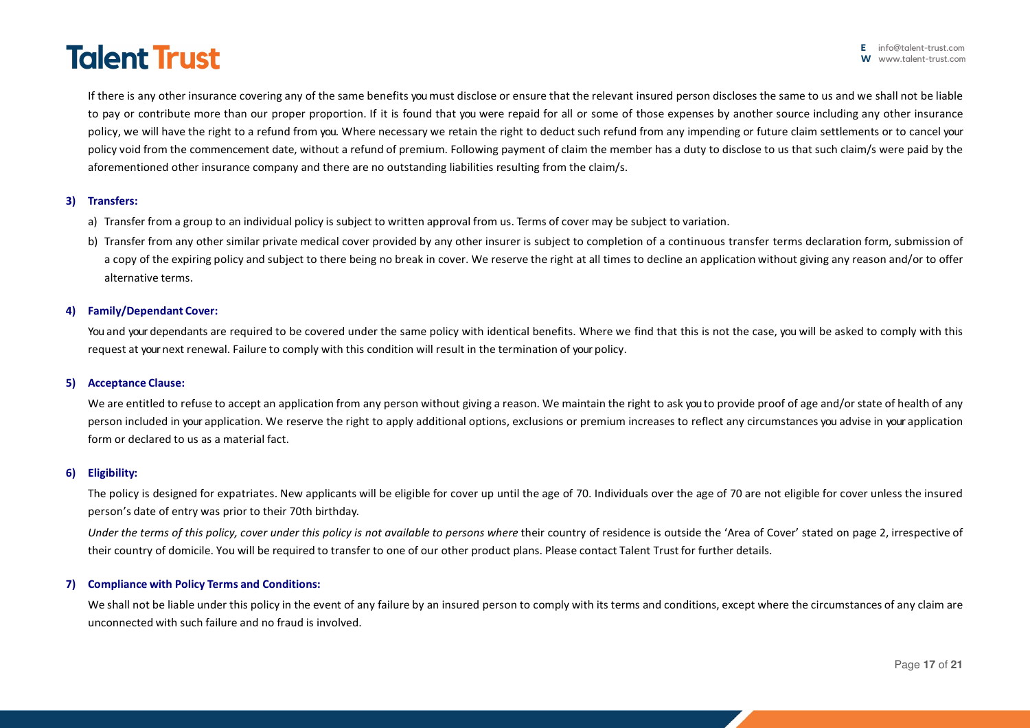If there is any other insurance covering any of the same benefits you must disclose or ensure that the relevant insured person discloses the same to us and we shall not be liable to pay or contribute more than our proper proportion. If it is found that you were repaid for all or some of those expenses by another source including any other insurance policy, we will have the right to a refund from you. Where necessary we retain the right to deduct such refund from any impending or future claim settlements or to cancel your policy void from the commencement date, without a refund of premium. Following payment of claim the member has a duty to disclose to us that such claim/s were paid by the aforementioned other insurance company and there are no outstanding liabilities resulting from the claim/s.

### **3) Transfers:**

- a) Transfer from a group to an individual policy is subject to written approval from us. Terms of cover may be subject to variation.
- b) Transfer from any other similar private medical cover provided by any other insurer is subject to completion of a continuous transfer terms declaration form, submission of a copy of the expiring policy and subject to there being no break in cover. We reserve the right at all times to decline an application without giving any reason and/or to offer alternative terms.

### **4) Family/Dependant Cover:**

You and your dependants are required to be covered under the same policy with identical benefits. Where we find that this is not the case, you will be asked to comply with this request at your next renewal. Failure to comply with this condition will result in the termination of your policy.

### **5) Acceptance Clause:**

We are entitled to refuse to accept an application from any person without giving a reason. We maintain the right to ask you to provide proof of age and/or state of health of any person included in your application. We reserve the right to apply additional options, exclusions or premium increases to reflect any circumstances you advise in your application form or declared to us as a material fact.

#### **6) Eligibility:**

The policy is designed for expatriates. New applicants will be eligible for cover up until the age of 70. Individuals over the age of 70 are not eligible for cover unless the insured person's date of entry was prior to their 70th birthday.

*Under the terms of this policy, cover under this policy is not available to persons where their country of residence is outside the 'Area of Cover' stated on page 2, irrespective of* their country of domicile. You will be required to transfer to one of our other product plans. Please contact Talent Trust for further details.

### **7) Compliance with Policy Terms and Conditions:**

We shall not be liable under this policy in the event of any failure by an insured person to comply with its terms and conditions, except where the circumstances of any claim are unconnected with such failure and no fraud is involved.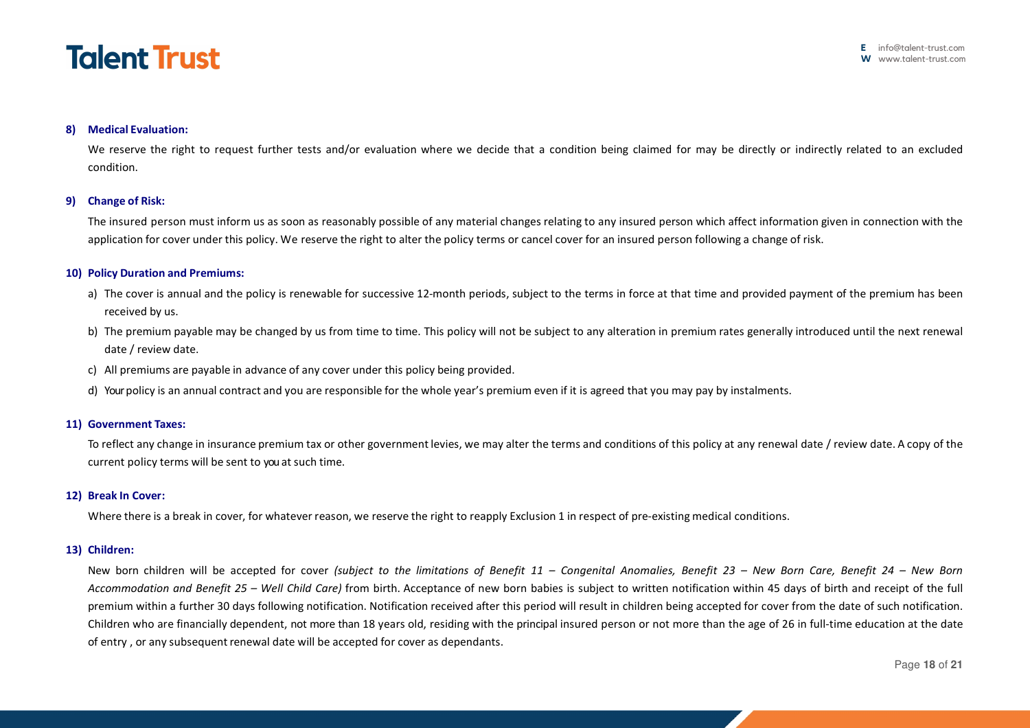

### **8) Medical Evaluation:**

We reserve the right to request further tests and/or evaluation where we decide that a condition being claimed for may be directly or indirectly related to an excluded condition.

#### **9) Change of Risk:**

The insured person must inform us as soon as reasonably possible of any material changes relating to any insured person which affect information given in connection with the application for cover under this policy. We reserve the right to alter the policy terms or cancel cover for an insured person following a change of risk.

#### **10) Policy Duration and Premiums:**

- a) The cover is annual and the policy is renewable for successive 12-month periods, subject to the terms in force at that time and provided payment of the premium has been received by us.
- b) The premium payable may be changed by us from time to time. This policy will not be subject to any alteration in premium rates generally introduced until the next renewal date / review date.
- c) All premiums are payable in advance of any cover under this policy being provided.
- d) Your policy is an annual contract and you are responsible for the whole year's premium even if it is agreed that you may pay by instalments.

#### **11) Government Taxes:**

To reflect any change in insurance premium tax or other government levies, we may alter the terms and conditions of this policy at any renewal date / review date. A copy of the current policy terms will be sent to you at such time.

### **12) Break In Cover:**

Where there is a break in cover, for whatever reason, we reserve the right to reapply Exclusion 1 in respect of pre-existing medical conditions.

#### **13) Children:**

New born children will be accepted for cover *(subject to the limitations of Benefit 11 – Congenital Anomalies, Benefit 23 – New Born Care, Benefit 24 – New Born Accommodation and Benefit 25 – Well Child Care)* from birth. Acceptance of new born babies is subject to written notification within 45 days of birth and receipt of the full premium within a further 30 days following notification. Notification received after this period will result in children being accepted for cover from the date of such notification. Children who are financially dependent, not more than 18 years old, residing with the principal insured person or not more than the age of 26 in full-time education at the date of entry , or any subsequent renewal date will be accepted for cover as dependants.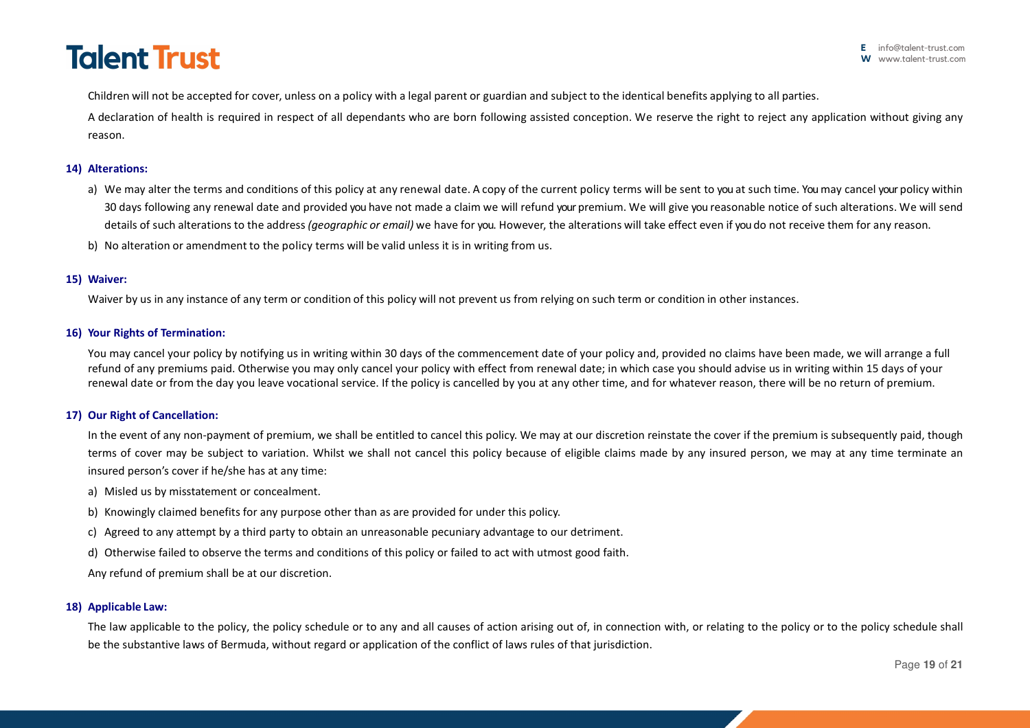Children will not be accepted for cover, unless on a policy with a legal parent or guardian and subject to the identical benefits applying to all parties.

A declaration of health is required in respect of all dependants who are born following assisted conception. We reserve the right to reject any application without giving any reason.

### **14) Alterations:**

- a) We may alter the terms and conditions of this policy at any renewal date. A copy of the current policy terms will be sent to you at such time. You may cancel your policy within 30 days following any renewal date and provided you have not made a claim we will refund your premium. We will give you reasonable notice of such alterations. We will send details of such alterations to the address *(geographic or email)* we have for you. However, the alterations will take effect even if you do not receive them for any reason.
- b) No alteration or amendment to the policy terms will be valid unless it is in writing from us.

## **15) Waiver:**

Waiver by us in any instance of any term or condition of this policy will not prevent us from relying on such term or condition in other instances.

## **16) Your Rights of Termination:**

You may cancel your policy by notifying us in writing within 30 days of the commencement date of your policy and, provided no claims have been made, we will arrange a full refund of any premiums paid. Otherwise you may only cancel your policy with effect from renewal date; in which case you should advise us in writing within 15 days of your renewal date or from the day you leave vocational service. If the policy is cancelled by you at any other time, and for whatever reason, there will be no return of premium.

### **17) Our Right of Cancellation:**

In the event of any non-payment of premium, we shall be entitled to cancel this policy. We may at our discretion reinstate the cover if the premium is subsequently paid, though terms of cover may be subject to variation. Whilst we shall not cancel this policy because of eligible claims made by any insured person, we may at any time terminate an insured person's cover if he/she has at any time:

- a) Misled us by misstatement or concealment.
- b) Knowingly claimed benefits for any purpose other than as are provided for under this policy.
- c) Agreed to any attempt by a third party to obtain an unreasonable pecuniary advantage to our detriment.
- d) Otherwise failed to observe the terms and conditions of this policy or failed to act with utmost good faith.

Any refund of premium shall be at our discretion.

### **18) Applicable Law:**

The law applicable to the policy, the policy schedule or to any and all causes of action arising out of, in connection with, or relating to the policy or to the policy schedule shall be the substantive laws of Bermuda, without regard or application of the conflict of laws rules of that jurisdiction.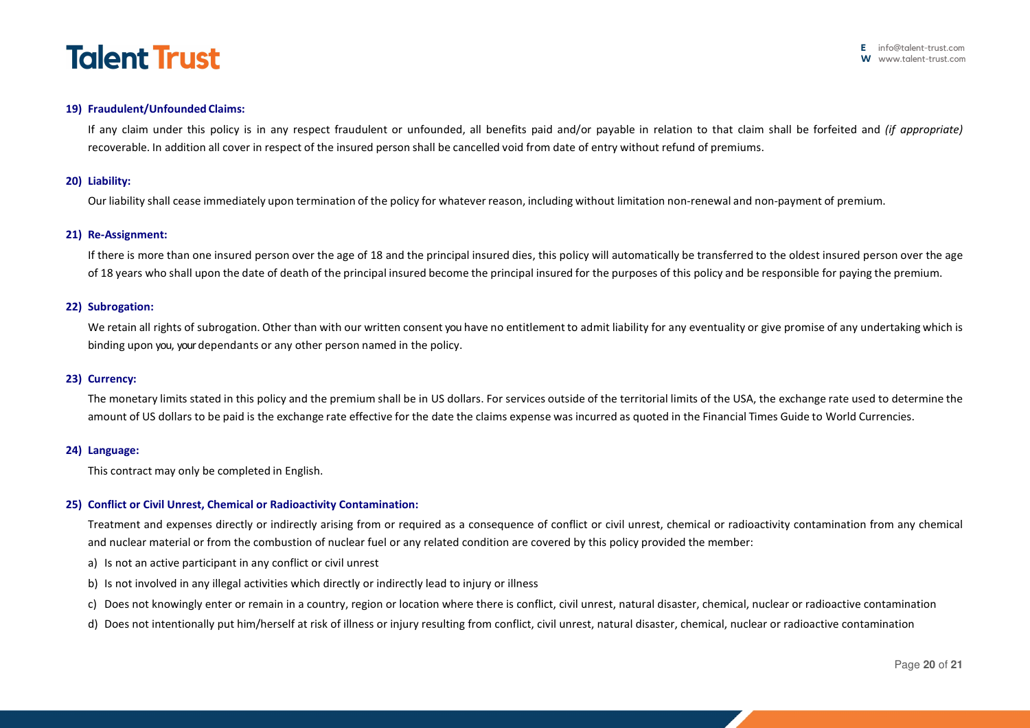

### **19) Fraudulent/Unfounded Claims:**

If any claim under this policy is in any respect fraudulent or unfounded, all benefits paid and/or payable in relation to that claim shall be forfeited and *(if appropriate)*  recoverable. In addition all cover in respect of the insured person shall be cancelled void from date of entry without refund of premiums.

#### **20) Liability:**

Our liability shall cease immediately upon termination of the policy for whatever reason, including without limitation non-renewal and non-payment of premium.

#### **21) Re-Assignment:**

If there is more than one insured person over the age of 18 and the principal insured dies, this policy will automatically be transferred to the oldest insured person over the age of 18 years who shall upon the date of death of the principal insured become the principal insured for the purposes of this policy and be responsible for paying the premium.

#### **22) Subrogation:**

We retain all rights of subrogation. Other than with our written consent you have no entitlement to admit liability for any eventuality or give promise of any undertaking which is binding upon you, your dependants or any other person named in the policy.

### **23) Currency:**

The monetary limits stated in this policy and the premium shall be in US dollars. For services outside of the territorial limits of the USA, the exchange rate used to determine the amount of US dollars to be paid is the exchange rate effective for the date the claims expense was incurred as quoted in the Financial Times Guide to World Currencies.

### **24) Language:**

This contract may only be completed in English.

### **25) Conflict or Civil Unrest, Chemical or Radioactivity Contamination:**

Treatment and expenses directly or indirectly arising from or required as a consequence of conflict or civil unrest, chemical or radioactivity contamination from any chemical and nuclear material or from the combustion of nuclear fuel or any related condition are covered by this policy provided the member:

- a) Is not an active participant in any conflict or civil unrest
- b) Is not involved in any illegal activities which directly or indirectly lead to injury or illness
- c) Does not knowingly enter or remain in a country, region or location where there is conflict, civil unrest, natural disaster, chemical, nuclear or radioactive contamination
- d) Does not intentionally put him/herself at risk of illness or injury resulting from conflict, civil unrest, natural disaster, chemical, nuclear or radioactive contamination